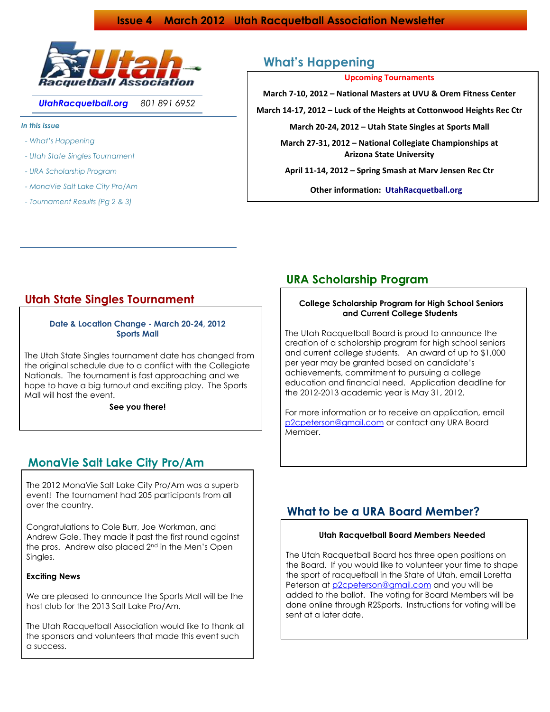## **Issue 4 March 2012 Utah Racquetball Association Newsletter**



*UtahRacquetball.org 801 891 6952*

*In this issue*

- *- What's Happening*
- *- Utah State Singles Tournament*
- *- URA Scholarship Program*
- *- MonaVie Salt Lake City Pro/Am*
- *- Tournament Results (Pg 2 & 3)*

# **What's Happening**

**Upcoming Tournaments**

**March 7-10, 2012 – National Masters at UVU & Orem Fitness Center**

**March 14-17, 2012 – Luck of the Heights at Cottonwood Heights Rec Ctr** 

**March 20-24, 2012 – Utah State Singles at Sports Mall**

**March 27-31, 2012 – National Collegiate Championships at Arizona State University**

**April 11-14, 2012 – Spring Smash at Marv Jensen Rec Ctr**

**Other information: UtahRacquetball.org** 

# **Utah State Singles Tournament**

**Date & Location Change - March 20-24, 2012 Sports Mall**

 The Utah State Singles tournament date has changed from the original schedule due to a conflict with the Collegiate Nationals. The tournament is fast approaching and we hope to have a big turnout and exciting play. The Sports Mall will host the event.

**See you there!**

# **MonaVie Salt Lake City Pro/Am**

 The 2012 MonaVie Salt Lake City Pro/Am was a superb event! The tournament had 205 participants from all over the country.

 Congratulations to Cole Burr, Joe Workman, and Andrew Gale. They made it past the first round against the pros. Andrew also placed 2<sup>nd</sup> in the Men's Open Singles.

### **Exciting News**

 We are pleased to announce the Sports Mall will be the host club for the 2013 Salt Lake Pro/Am.

 The Utah Racquetball Association would like to thank all the sponsors and volunteers that made this event such a success.

# **URA Scholarship Program**

## **College Scholarship Program for High School Seniors and Current College Students**

 The Utah Racquetball Board is proud to announce the creation of a scholarship program for high school seniors and current college students. An award of up to \$1,000 per year may be granted based on candidate's achievements, commitment to pursuing a college education and financial need. Application deadline for the 2012-2013 academic year is May 31, 2012.

 For more information or to receive an application, email [p2cpeterson@gmail.com](mailto:p2cpeterson@gmail.com) or contact any URA Board Member.

# **What to be a URA Board Member?**

### **Utah Racquetball Board Members Needed**

 The Utah Racquetball Board has three open positions on the Board. If you would like to volunteer your time to shape the sport of racquetball in the State of Utah, email Loretta Peterson at [p2cpeterson@gmail.com](mailto:p2cpeterson@gmail.com) and you will be added to the ballot. The voting for Board Members will be done online through R2Sports. Instructions for voting will be sent at a later date.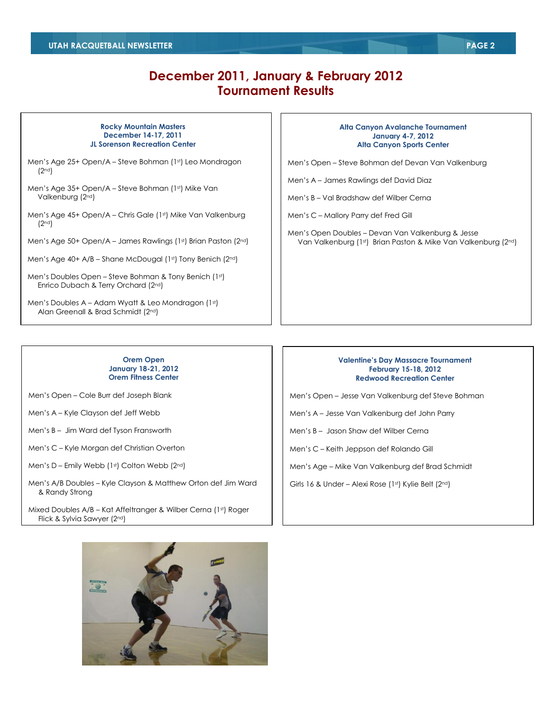# **December 2011, January & February 2012 Tournament Results**

#### **Rocky Mountain Masters December 14-17, 2011 JL Sorenson Recreation Center**

- Men's Age 25+ Open/A Steve Bohman (1st) Leo Mondragon (2nd)
- Men's Age 35+ Open/A Steve Bohman (1st) Mike Van Valkenburg (2nd)
- Men's Age 45+ Open/A Chris Gale (1st) Mike Van Valkenburg (2nd)
- Men's Age 50+ Open/A James Rawlings (1st) Brian Paston (2nd)
- Men's Age 40+ A/B Shane McDougal (1st) Tony Benich (2nd)

Men's Doubles Open - Steve Bohman & Tony Benich (1st) Enrico Dubach & Terry Orchard (2nd)

Men's Doubles A – Adam Wyatt & Leo Mondragon (1st) Alan Greenall & Brad Schmidt (2nd)

#### **Alta Canyon Avalanche Tournament January 4-7, 2012 Alta Canyon Sports Center**

Men's Open – Steve Bohman def Devan Van Valkenburg

Men's A – James Rawlings def David Diaz

Men's B – Val Bradshaw def Wilber Cerna

- Men's C Mallory Parry def Fred Gill
- Men's Open Doubles Devan Van Valkenburg & Jesse Van Valkenburg (1st) Brian Paston & Mike Van Valkenburg (2nd)

### **Orem Open January 18-21, 2012 Orem Fitness Center**

Men's Open – Cole Burr def Joseph Blank

Men's A – Kyle Clayson def Jeff Webb

Men's B – Jim Ward def Tyson Fransworth

Men's C – Kyle Morgan def Christian Overton

Men's D – Emily Webb  $(1<sup>st</sup>)$  Colton Webb  $(2<sup>nd</sup>)$ 

Men's A/B Doubles – Kyle Clayson & Matthew Orton def Jim Ward & Randy Strong

Mixed Doubles A/B - Kat Affeltranger & Wilber Cerna (1st) Roger Flick & Sylvia Sawyer (2nd)

### **Valentine's Day Massacre Tournament February 15-18, 2012 Redwood Recreation Center**

Men's Open – Jesse Van Valkenburg def Steve Bohman

Men's A – Jesse Van Valkenburg def John Parry

Men's B – Jason Shaw def Wilber Cerna

Men's C – Keith Jeppson def Rolando Gill

Men's Age – Mike Van Valkenburg def Brad Schmidt

Girls 16 & Under – Alexi Rose (1st) Kylie Belt (2nd)